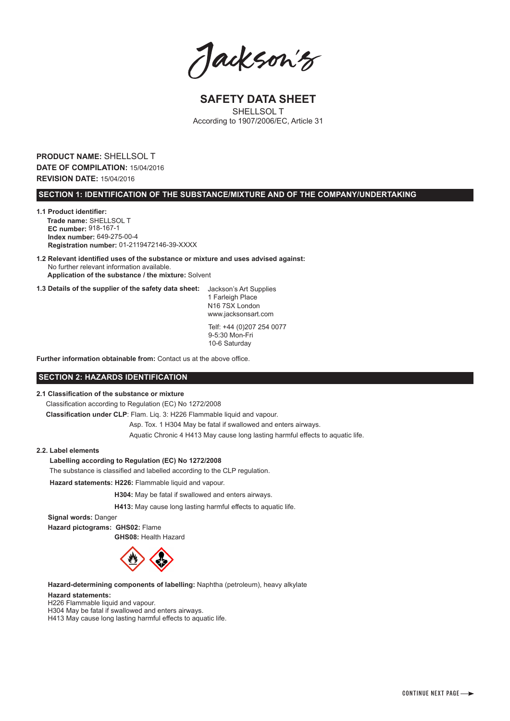Jackson's

**SAFETY DATA SHEET** SHELL SOL T According to 1907/2006/EC, Article 31

# **PRODUCT NAME:** SHELLSOL T **DATE OF COMPILATION:** 15/04/2016 **REVISION DATE:** 15/04/2016

## **SECTION 1: IDENTIFICATION OF THE SUBSTANCE/MIXTURE AND OF THE COMPANY/UNDERTAKING**

**1.1 Product identifier: Trade name:** SHELLSOL T  **EC number:** 918-167-1  **Index number:** 649-275-00-4  **Registration number:** 01-2119472146-39-XXXX

**1.2 Relevant identified uses of the substance or mixture and uses advised against:** No further relevant information available.  **Application of the substance / the mixture:** Solvent

**1.3 Details of the supplier of the safety data sheet:** Jackson's Art Supplies

1 Farleigh Place N16 7SX London www.jacksonsart.com Telf: +44 (0)207 254 0077

9-5:30 Mon-Fri 10-6 Saturday

**Further information obtainable from:** Contact us at the above office.

# **SECTION 2: HAZARDS IDENTIFICATION**

# **2.1 Classification of the substance or mixture**

Classification according to Regulation (EC) No 1272/2008

 **Classification under CLP**: Flam. Liq. 3: H226 Flammable liquid and vapour.

Asp. Tox. 1 H304 May be fatal if swallowed and enters airways.

Aquatic Chronic 4 H413 May cause long lasting harmful effects to aquatic life.

# **2.2. Label elements**

#### **Labelling according to Regulation (EC) No 1272/2008**

The substance is classified and labelled according to the CLP regulation.

 **Hazard statements: H226:** Flammable liquid and vapour.

 **H304:** May be fatal if swallowed and enters airways.

 **H413:** May cause long lasting harmful effects to aquatic life.

 **Signal words:** Danger

 **Hazard pictograms: GHS02:** Flame  **GHS08:** Health Hazard



 **Hazard-determining components of labelling:** Naphtha (petroleum), heavy alkylate

#### **Hazard statements:**

H226 Flammable liquid and vapour.

H304 May be fatal if swallowed and enters airways.

H413 May cause long lasting harmful effects to aquatic life.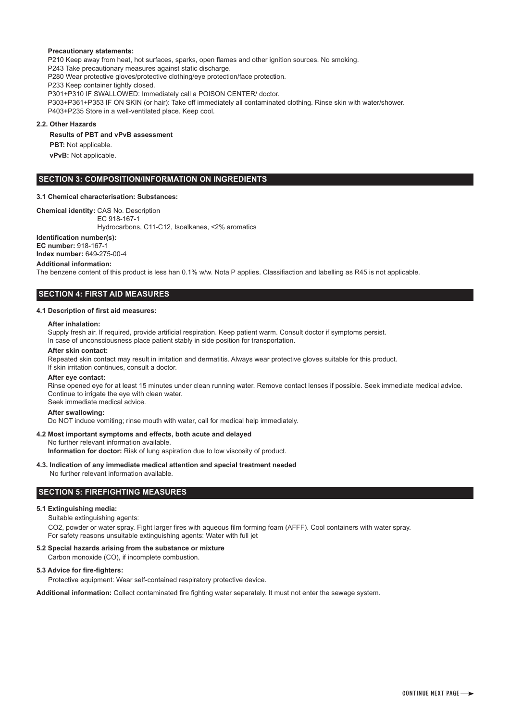# **Precautionary statements:**

 P210 Keep away from heat, hot surfaces, sparks, open flames and other ignition sources. No smoking. P243 Take precautionary measures against static discharge. P280 Wear protective gloves/protective clothing/eye protection/face protection. P233 Keep container tightly closed. P301+P310 IF SWALLOWED: Immediately call a POISON CENTER/ doctor. P303+P361+P353 IF ON SKIN (or hair): Take off immediately all contaminated clothing. Rinse skin with water/shower. P403+P235 Store in a well-ventilated place. Keep cool.

#### **2.2. Other Hazards**

#### **Results of PBT and vPvB assessment**

**PBT:** Not applicable.  **vPvB:** Not applicable.

## **SECTION 3: COMPOSITION/INFORMATION ON INGREDIENTS**

#### **3.1 Chemical characterisation: Substances:**

**Chemical identity:** CAS No. Description

EC 918-167-1

Hydrocarbons, C11-C12, Isoalkanes, <2% aromatics

**Identification number(s): EC number:** 918-167-1

**Index number:** 649-275-00-4

## **Additional information:**

The benzene content of this product is less han 0.1% w/w. Nota P applies. Classifiaction and labelling as R45 is not applicable.

# **SECTION 4: FIRST AID MEASURES**

## **4.1 Description of first aid measures:**

#### **After inhalation:**

 Supply fresh air. If required, provide artificial respiration. Keep patient warm. Consult doctor if symptoms persist. In case of unconsciousness place patient stably in side position for transportation.

#### **After skin contact:**

 Repeated skin contact may result in irritation and dermatitis. Always wear protective gloves suitable for this product. If skin irritation continues, consult a doctor.

#### **After eye contact:**

 Rinse opened eye for at least 15 minutes under clean running water. Remove contact lenses if possible. Seek immediate medical advice. Continue to irrigate the eye with clean water. Seek immediate medical advice.

#### **After swallowing:**

Do NOT induce vomiting; rinse mouth with water, call for medical help immediately.

#### **4.2 Most important symptoms and effects, both acute and delayed** No further relevant information available.

**Information for doctor:** Risk of lung aspiration due to low viscosity of product.

**4.3. Indication of any immediate medical attention and special treatment needed** No further relevant information available.

# **SECTION 5: FIREFIGHTING MEASURES**

#### **5.1 Extinguishing media:**

Suitable extinguishing agents:

CO2, powder or water spray. Fight larger fires with aqueous film forming foam (AFFF). Cool containers with water spray. For safety reasons unsuitable extinguishing agents: Water with full jet

#### **5.2 Special hazards arising from the substance or mixture**

Carbon monoxide (CO), if incomplete combustion.

# **5.3 Advice for fire-fighters:**

Protective equipment: Wear self-contained respiratory protective device.

**Additional information:** Collect contaminated fire fighting water separately. It must not enter the sewage system.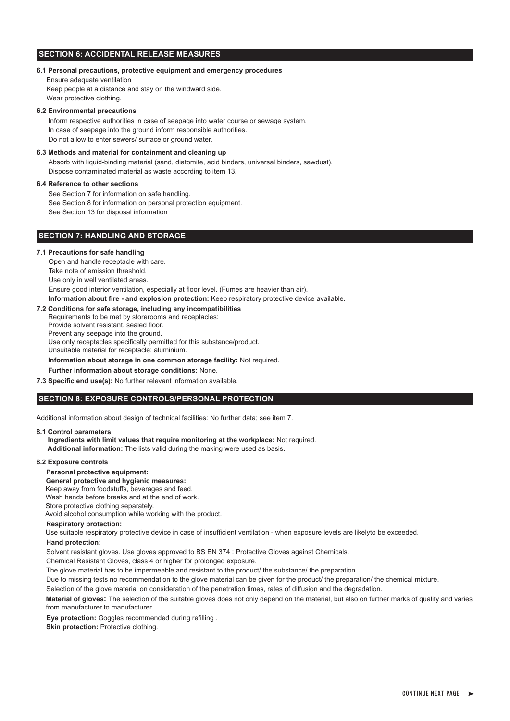# **SECTION 6: ACCIDENTAL RELEASE MEASURES**

# **6.1 Personal precautions, protective equipment and emergency procedures**

Ensure adequate ventilation Keep people at a distance and stay on the windward side. Wear protective clothing.

## **6.2 Environmental precautions**

Inform respective authorities in case of seepage into water course or sewage system. In case of seepage into the ground inform responsible authorities. Do not allow to enter sewers/ surface or ground water.

#### **6.3 Methods and material for containment and cleaning up**

Absorb with liquid-binding material (sand, diatomite, acid binders, universal binders, sawdust). Dispose contaminated material as waste according to item 13.

## **6.4 Reference to other sections**

See Section 7 for information on safe handling.

See Section 8 for information on personal protection equipment.

See Section 13 for disposal information

# **SECTION 7: HANDLING AND STORAGE**

#### **7.1 Precautions for safe handling**

Open and handle receptacle with care. Take note of emission threshold. Use only in well ventilated areas. Ensure good interior ventilation, especially at floor level. (Fumes are heavier than air).

 **Information about fire - and explosion protection:** Keep respiratory protective device available.

## **7.2 Conditions for safe storage, including any incompatibilities**

 Requirements to be met by storerooms and receptacles: Provide solvent resistant, sealed floor. Prevent any seepage into the ground. Use only receptacles specifically permitted for this substance/product. Unsuitable material for receptacle: aluminium.

**Information about storage in one common storage facility:** Not required.

**Further information about storage conditions:** None.

#### **7.3 Specific end use(s):** No further relevant information available.

# **SECTION 8: EXPOSURE CONTROLS/PERSONAL PROTECTION**

Additional information about design of technical facilities: No further data; see item 7.

#### **8.1 Control parameters**

 **Ingredients with limit values that require monitoring at the workplace:** Not required.  **Additional information:** The lists valid during the making were used as basis.

# **8.2 Exposure controls**

# **Personal protective equipment:**

 **General protective and hygienic measures:**

Keep away from foodstuffs, beverages and feed. Wash hands before breaks and at the end of work.

Store protective clothing separately.

Avoid alcohol consumption while working with the product.

#### **Respiratory protection:**

Use suitable respiratory protective device in case of insufficient ventilation - when exposure levels are likelyto be exceeded.

#### **Hand protection:**

Solvent resistant gloves. Use gloves approved to BS EN 374 : Protective Gloves against Chemicals.

Chemical Resistant Gloves, class 4 or higher for prolonged exposure.

The glove material has to be impermeable and resistant to the product/ the substance/ the preparation.

Due to missing tests no recommendation to the glove material can be given for the product/ the preparation/ the chemical mixture.

Selection of the glove material on consideration of the penetration times, rates of diffusion and the degradation.

 **Material of gloves:** The selection of the suitable gloves does not only depend on the material, but also on further marks of quality and varies from manufacturer to manufacturer.

 **Eye protection:** Goggles recommended during refilling .

**Skin protection: Protective clothing.**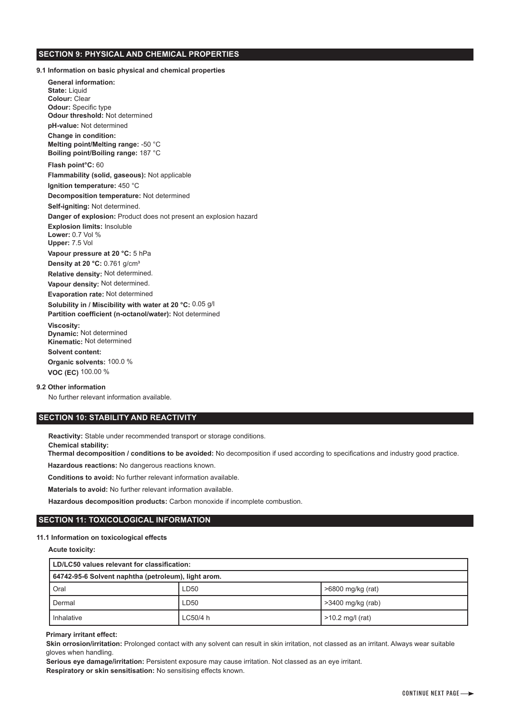# **SECTION 9: PHYSICAL AND CHEMICAL PROPERTIES**

**9.1 Information on basic physical and chemical properties**

 **General information: State:** Liquid  **Colour:** Clear  **Odour:** Specific type  **Odour threshold:** Not determined  **pH-value:** Not determined  **Change in condition: Melting point/Melting range:** -50 °C  **Boiling point/Boiling range:** 187 °C  **Flash point°C:** 60  **Flammability (solid, gaseous):** Not applicable  **Ignition temperature:** 450 °C  **Decomposition temperature:** Not determined  **Self-igniting:** Not determined.  **Danger of explosion:** Product does not present an explosion hazard  **Explosion limits:** Insoluble  **Lower:** 0.7 Vol %  **Upper:** 7.5 Vol  **Vapour pressure at 20 °C:** 5 hPa  **Density at 20 °C:** 0.761 g/cm³  **Relative density:** Not determined.  **Vapour density:** Not determined.  **Evaporation rate:** Not determined  **Solubility in / Miscibility with water at 20 °C:** 0.05 g/l  **Partition coefficient (n-octanol/water):** Not determined  **Viscosity: Dynamic:** Not determined  **Kinematic:** Not determined  **Solvent content: Organic solvents:** 100.0 %

 **VOC (EC)** 100.00 %

# **9.2 Other information**

 **Chemical stability:**

No further relevant information available.

# **SECTION 10: STABILITY AND REACTIVITY**

 **Reactivity:** Stable under recommended transport or storage conditions.

 **Thermal decomposition / conditions to be avoided:** No decomposition if used according to specifications and industry good practice.

 **Hazardous reactions:** No dangerous reactions known.

 **Conditions to avoid:** No further relevant information available.

 **Materials to avoid:** No further relevant information available.

 **Hazardous decomposition products:** Carbon monoxide if incomplete combustion.

# **SECTION 11: TOXICOLOGICAL INFORMATION**

## **11.1 Information on toxicological effects**

 **Acute toxicity:** 

| LD/LC50 values relevant for classification:         |          |                    |
|-----------------------------------------------------|----------|--------------------|
| 64742-95-6 Solvent naphtha (petroleum), light arom. |          |                    |
| Oral                                                | LD50     | >6800 mg/kg (rat)  |
| Dermal                                              | LD50     | >3400 mg/kg (rab)  |
| Inhalative                                          | LC50/4 h | $>10.2$ mg/l (rat) |

## **Primary irritant effect:**

Skin orrosion/irritation: Prolonged contact with any solvent can result in skin irritation, not classed as an irritant. Always wear suitable gloves when handling.

 **Serious eye damage/irritation:** Persistent exposure may cause irritation. Not classed as an eye irritant.  **Respiratory or skin sensitisation:** No sensitising effects known.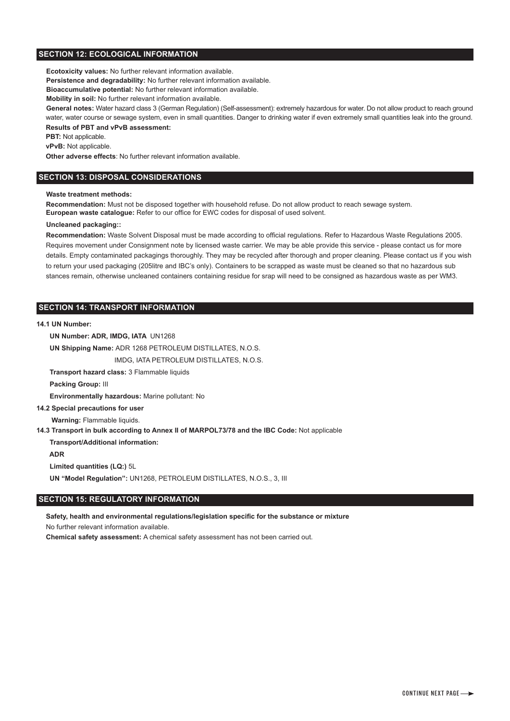# **SECTION 12: ECOLOGICAL INFORMATION**

 **Ecotoxicity values:** No further relevant information available.

 **Persistence and degradability:** No further relevant information available.

 **Bioaccumulative potential:** No further relevant information available.

 **Mobility in soil:** No further relevant information available.

 **General notes:** Water hazard class 3 (German Regulation) (Self-assessment): extremely hazardous for water. Do not allow product to reach ground water, water course or sewage system, even in small quantities. Danger to drinking water if even extremely small quantities leak into the ground.

# **Results of PBT and vPvB assessment:**

**PBT:** Not applicable.

 **vPvB:** Not applicable.

 **Other adverse effects**: No further relevant information available.

## **SECTION 13: DISPOSAL CONSIDERATIONS**

#### **Waste treatment methods:**

 **Recommendation:** Must not be disposed together with household refuse. Do not allow product to reach sewage system.  **European waste catalogue:** Refer to our office for EWC codes for disposal of used solvent.

#### **Uncleaned packaging::**

 **Recommendation:** Waste Solvent Disposal must be made according to official regulations. Refer to Hazardous Waste Regulations 2005. Requires movement under Consignment note by licensed waste carrier. We may be able provide this service - please contact us for more details. Empty contaminated packagings thoroughly. They may be recycled after thorough and proper cleaning. Please contact us if you wish to return your used packaging (205litre and IBC's only). Containers to be scrapped as waste must be cleaned so that no hazardous sub stances remain, otherwise uncleaned containers containing residue for srap will need to be consigned as hazardous waste as per WM3.

# **SECTION 14: TRANSPORT INFORMATION**

#### **14.1 UN Number:**

 **UN Number: ADR, IMDG, IATA** UN1268

 **UN Shipping Name:** ADR 1268 PETROLEUM DISTILLATES, N.O.S.

IMDG, IATA PETROLEUM DISTILLATES, N.O.S.

 **Transport hazard class:** 3 Flammable liquids

 **Packing Group:** III

 **Environmentally hazardous:** Marine pollutant: No

## **14.2 Special precautions for user**

 **Warning:** Flammable liquids.

**14.3 Transport in bulk according to Annex II of MARPOL73/78 and the IBC Code:** Not applicable

 **Transport/Additional information:**

 **ADR**

 **Limited quantities (LQ:)** 5L

 **UN "Model Regulation":** UN1268, PETROLEUM DISTILLATES, N.O.S., 3, III

# **SECTION 15: REGULATORY INFORMATION**

 **Safety, health and environmental regulations/legislation specific for the substance or mixture** No further relevant information available.

 **Chemical safety assessment:** A chemical safety assessment has not been carried out.